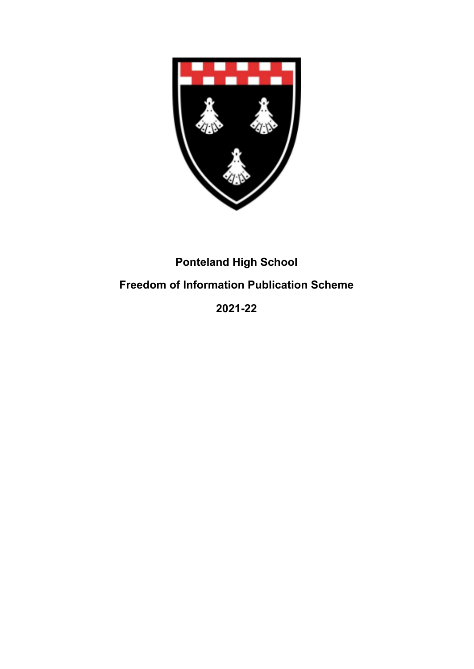

## **Ponteland High School**

## **Freedom of Information Publication Scheme**

**2021-22**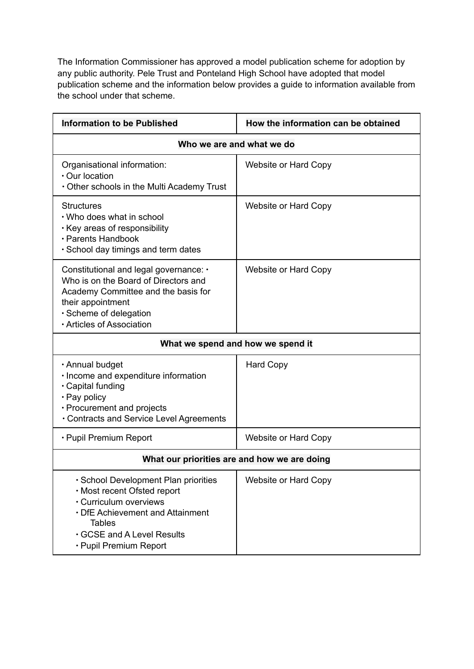The Information Commissioner has approved a model publication scheme for adoption by any public authority. Pele Trust and Ponteland High School have adopted that model publication scheme and the information below provides a guide to information available from the school under that scheme.

| <b>Information to be Published</b>                                                                                                                                                                       | How the information can be obtained |
|----------------------------------------------------------------------------------------------------------------------------------------------------------------------------------------------------------|-------------------------------------|
| Who we are and what we do                                                                                                                                                                                |                                     |
| Organisational information:<br>· Our location<br>Other schools in the Multi Academy Trust                                                                                                                | Website or Hard Copy                |
| <b>Structures</b><br>. Who does what in school<br>Key areas of responsibility<br>· Parents Handbook<br>· School day timings and term dates                                                               | Website or Hard Copy                |
| Constitutional and legal governance: •<br>Who is on the Board of Directors and<br>Academy Committee and the basis for<br>their appointment<br>· Scheme of delegation<br>· Articles of Association        | Website or Hard Copy                |
| What we spend and how we spend it                                                                                                                                                                        |                                     |
| · Annual budget<br>· Income and expenditure information<br>· Capital funding<br>$\cdot$ Pay policy<br>• Procurement and projects<br>Contracts and Service Level Agreements                               | <b>Hard Copy</b>                    |
| • Pupil Premium Report                                                                                                                                                                                   | Website or Hard Copy                |
| What our priorities are and how we are doing                                                                                                                                                             |                                     |
| · School Development Plan priorities<br>· Most recent Ofsted report<br>· Curriculum overviews<br>• DfE Achievement and Attainment<br><b>Tables</b><br>GCSE and A Level Results<br>· Pupil Premium Report | Website or Hard Copy                |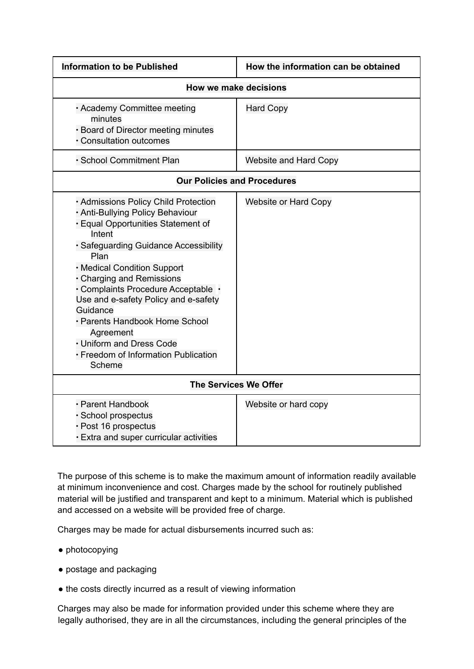| <b>Information to be Published</b>                                                                                                                                                                                                                                                                                                                                                                                                                            | How the information can be obtained |
|---------------------------------------------------------------------------------------------------------------------------------------------------------------------------------------------------------------------------------------------------------------------------------------------------------------------------------------------------------------------------------------------------------------------------------------------------------------|-------------------------------------|
| How we make decisions                                                                                                                                                                                                                                                                                                                                                                                                                                         |                                     |
| · Academy Committee meeting<br>minutes<br>· Board of Director meeting minutes<br>· Consultation outcomes                                                                                                                                                                                                                                                                                                                                                      | <b>Hard Copy</b>                    |
| · School Commitment Plan                                                                                                                                                                                                                                                                                                                                                                                                                                      | <b>Website and Hard Copy</b>        |
| <b>Our Policies and Procedures</b>                                                                                                                                                                                                                                                                                                                                                                                                                            |                                     |
| · Admissions Policy Child Protection<br>· Anti-Bullying Policy Behaviour<br>· Equal Opportunities Statement of<br>Intent<br>· Safeguarding Guidance Accessibility<br>Plan<br>• Medical Condition Support<br>• Charging and Remissions<br>· Complaints Procedure Acceptable ·<br>Use and e-safety Policy and e-safety<br>Guidance<br>· Parents Handbook Home School<br>Agreement<br>• Uniform and Dress Code<br>· Freedom of Information Publication<br>Scheme | <b>Website or Hard Copy</b>         |
| The Services We Offer                                                                                                                                                                                                                                                                                                                                                                                                                                         |                                     |
| · Parent Handbook<br>· School prospectus<br>· Post 16 prospectus<br>Extra and super curricular activities                                                                                                                                                                                                                                                                                                                                                     | Website or hard copy                |

The purpose of this scheme is to make the maximum amount of information readily available at minimum inconvenience and cost. Charges made by the school for routinely published material will be justified and transparent and kept to a minimum. Material which is published and accessed on a website will be provided free of charge.

Charges may be made for actual disbursements incurred such as:

- photocopying
- postage and packaging
- the costs directly incurred as a result of viewing information

Charges may also be made for information provided under this scheme where they are legally authorised, they are in all the circumstances, including the general principles of the